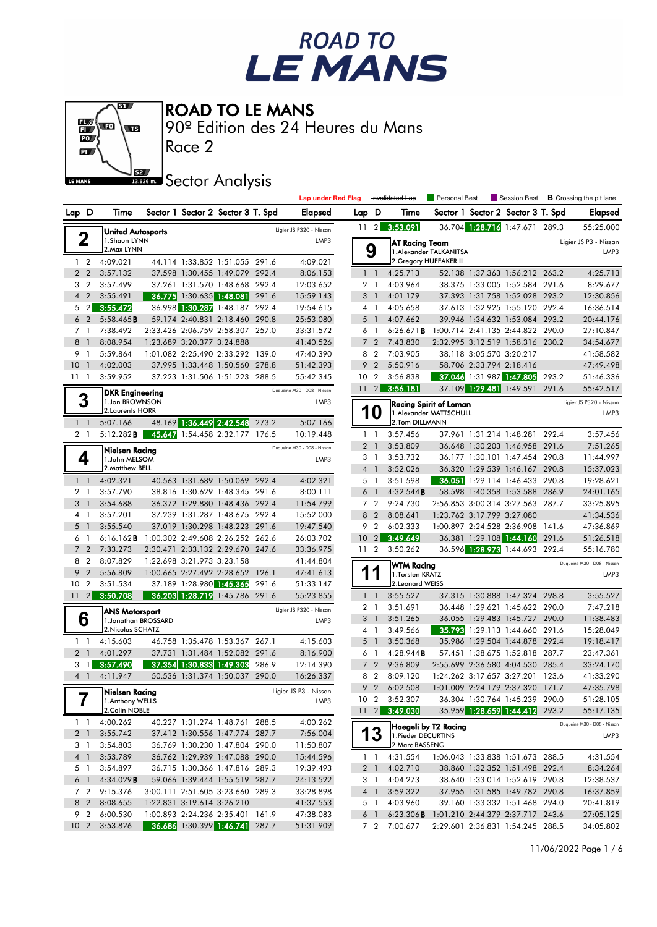# ROAD TO<br>LE MANS



ROAD TO LE MANS

90º Edition des 24 Heures du Mans

Race 2

## **J**<br>Issuem Sector Analysis

|                            |                |                                    |                                  |                                                                  |       | <b>Lap under Red Flag</b>     |                |                       | Invalidated Lap        | Personal Best                 |                            | Session Best                                                       |       | <b>B</b> Crossing the pit lane |
|----------------------------|----------------|------------------------------------|----------------------------------|------------------------------------------------------------------|-------|-------------------------------|----------------|-----------------------|------------------------|-------------------------------|----------------------------|--------------------------------------------------------------------|-------|--------------------------------|
| Lap D                      |                | Time                               |                                  | Sector 1 Sector 2 Sector 3 T. Spd                                |       | Elapsed                       | Lap D          |                       | Time                   |                               |                            | Sector 1 Sector 2 Sector 3 T. Spd                                  |       | Elapsed                        |
|                            |                | <b>United Autosports</b>           |                                  |                                                                  |       | Ligier JS P320 - Nissan       |                | $11 \quad 2$          | 3:53.091               |                               |                            | 36.704 1:28.716 1:47.671 289.3                                     |       | 55:25.000                      |
| 2                          |                | 1.Shaun LYNN                       |                                  |                                                                  |       | LMP3                          |                |                       | AT Racing Team         |                               |                            |                                                                    |       | Ligier JS P3 - Nissan          |
| $1\quad 2$                 |                | 2. Max LYNN<br>4:09.021            |                                  | 44.114 1:33.852 1:51.055 291.6                                   |       | 4:09.021                      |                | 9                     | 2. Gregory HUFFAKER II | 1. Alexander TALKANITSA       |                            |                                                                    |       | LMP3                           |
| 2 <sub>2</sub>             |                | 3:57.132                           |                                  | 37.598 1:30.455 1:49.079 292.4                                   |       | 8:06.153                      |                | $1\quad1$             | 4:25.713               |                               |                            | 52.138 1:37.363 1:56.212 263.2                                     |       | 4:25.713                       |
| 3 <sub>2</sub>             |                | 3:57.499                           |                                  | 37.261 1:31.570 1:48.668 292.4                                   |       | 12:03.652                     |                | 2 <sub>1</sub>        | 4:03.964               |                               |                            | 38.375 1:33.005 1:52.584 291.6                                     |       | 8:29.677                       |
| 4 <sup>2</sup>             |                | 3:55.491                           |                                  | 36.775 1:30.635 1:48.081 291.6                                   |       | 15:59.143                     |                | 3 <sup>1</sup>        | 4:01.179               |                               |                            | 37.393 1:31.758 1:52.028 293.2                                     |       | 12:30.856                      |
| $5 \quad 2$                |                | 3:55.472                           |                                  | 36.998 1:30.287 1:48.187 292.4                                   |       | 19:54.615                     |                | 4 1                   | 4:05.658               |                               |                            | 37.613 1:32.925 1:55.120 292.4                                     |       | 16:36.514                      |
| 6                          | $\overline{2}$ | 5:58.465B                          |                                  | 59.174 2:40.831 2:18.460 290.8                                   |       | 25:53.080                     |                | 5 <sub>1</sub>        | 4:07.662               |                               |                            | 39.946 1:34.632 1:53.084 293.2                                     |       | 20:44.176                      |
| 7 <sub>1</sub>             |                | 7:38.492                           |                                  | 2:33.426 2:06.759 2:58.307 257.0                                 |       | 33:31.572                     |                | 6 1                   | 6:26.671B              |                               |                            | 1:00.714 2:41.135 2:44.822 290.0                                   |       | 27:10.847                      |
| 8                          | $\overline{1}$ | 8:08.954                           |                                  | 1:23.689 3:20.377 3:24.888                                       |       | 41:40.526                     |                | 7 <sub>2</sub>        | 7:43.830               |                               |                            | 2:32.995 3:12.519 1:58.316 230.2                                   |       | 34:54.677                      |
| 9 1                        |                | 5:59.864                           |                                  | 1:01.082 2:25.490 2:33.292 139.0                                 |       | 47:40.390                     | 8              | $\overline{2}$        | 7:03.905               |                               | 38.118 3:05.570 3:20.217   |                                                                    |       | 41:58.582                      |
| 10                         | $\overline{1}$ | 4:02.003                           |                                  | 37.995 1:33.448 1:50.560 278.8                                   |       | 51:42.393                     | 9              | $\overline{2}$        | 5:50.916               |                               |                            | 58.706 2:33.794 2:18.416                                           |       | 47:49.498                      |
| $11 - 1$                   |                | 3:59.952                           |                                  | 37.223 1:31.506 1:51.223 288.5                                   |       | 55:42.345                     |                | 10 <sub>2</sub>       | 3:56.838               |                               |                            | 37.046 1:31.987 1:47.805                                           | 293.2 | 51:46.336                      |
|                            |                | <b>DKR Engineering</b>             |                                  |                                                                  |       | Duqueine M30 - D08 - Nissan   | 11             | 2                     | 3:56.181               |                               |                            | 37.109 1:29.481 1:49.591 291.6                                     |       | 55:42.517                      |
| 3                          |                | 1.Jon BROWNSON                     |                                  |                                                                  |       | LMP3                          |                |                       |                        | <b>Racing Spirit of Leman</b> |                            |                                                                    |       | Ligier JS P320 - Nissan        |
|                            |                | 2. Laurents HORR                   |                                  |                                                                  |       |                               |                | O                     |                        | 1.Alexander MATTSCHULL        |                            |                                                                    |       | LMP3                           |
| $1\quad$                   |                | 5:07.166                           |                                  | 48.169 1:36.449 2:42.548 273.2                                   |       | 5:07.166                      |                |                       | 2.Tom DILLMANN         |                               |                            |                                                                    |       |                                |
| 2 <sub>1</sub>             |                | 5:12.282B                          |                                  | 45.647 1:54.458 2:32.177 176.5                                   |       | 10:19.448                     |                | $1\quad$              | 3:57.456               |                               |                            | 37.961 1:31.214 1:48.281 292.4                                     |       | 3:57.456                       |
|                            |                | Nielsen Racing                     |                                  |                                                                  |       | Duqueine M30 - D08 - Nissan   | $\overline{2}$ | $\overline{1}$        | 3:53.809               |                               |                            | 36.648 1:30.203 1:46.958 291.6                                     |       | 7:51.265                       |
| 4                          |                | 1.John MELSOM<br>2. Matthew BELL   |                                  |                                                                  |       | LMP3                          |                | 3 1                   | 3:53.732               |                               |                            | 36.177 1:30.101 1:47.454                                           | 290.8 | 11:44.997                      |
| $1\quad1$                  |                | 4:02.321                           |                                  | 40.563 1:31.689 1:50.069 292.4                                   |       | 4:02.321                      |                | 4 1<br>5 <sub>1</sub> | 3:52.026<br>3:51.598   |                               |                            | 36.320 1:29.539 1:46.167 290.8<br>36.051 1:29.114 1:46.433 290.8   |       | 15:37.023<br>19:28.621         |
| 2 <sub>1</sub>             |                | 3:57.790                           |                                  | 38.816 1:30.629 1:48.345 291.6                                   |       | 8:00.111                      | 6              | $\overline{1}$        | 4:32.544B              |                               |                            | 58.598 1:40.358 1:53.588 286.9                                     |       | 24:01.165                      |
| 3                          | $\overline{1}$ | 3:54.688                           |                                  | 36.372 1:29.880 1:48.436 292.4                                   |       | 11:54.799                     |                | 7 <sub>2</sub>        | 9:24.730               |                               |                            | 2:56.853 3:00.314 3:27.563 287.7                                   |       | 33:25.895                      |
| 41                         |                | 3:57.201                           |                                  | 37.239 1:31.287 1:48.675 292.4                                   |       | 15:52.000                     | 8              | $\overline{2}$        | 8:08.641               |                               | 1:23.762 3:17.799 3:27.080 |                                                                    |       | 41:34.536                      |
| 5                          | $\overline{1}$ | 3:55.540                           |                                  | 37.019 1:30.298 1:48.223 291.6                                   |       | 19:47.540                     |                | 9 <sub>2</sub>        | 6:02.333               |                               |                            | 1:00.897 2:24.528 2:36.908 141.6                                   |       | 47:36.869                      |
| 6                          | $\overline{1}$ | $6:16.162$ <b>B</b>                | 1:00.302 2:49.608 2:26.252 262.6 |                                                                  |       | 26:03.702                     | 10             | $\sqrt{2}$            | 3:49.649               |                               |                            | 36.381 1:29.108 1:44.160 291.6                                     |       | 51:26.518                      |
| $\overline{7}$             | $\overline{2}$ | 7:33.273                           |                                  | 2:30.471 2:33.132 2:29.670 247.6                                 |       | 33:36.975                     |                | 11 <sub>2</sub>       | 3:50.262               |                               |                            | 36.596 1:28.973 1:44.693 292.4                                     |       | 55:16.780                      |
| 8                          | $\overline{2}$ | 8:07.829                           |                                  | 1:22.698 3:21.973 3:23.158                                       |       | 41:44.804                     |                |                       | <b>WTM Racing</b>      |                               |                            |                                                                    |       | Duqueine M30 - D08 - Nissan    |
| 9 <sub>2</sub>             |                | 5:56.809                           |                                  | 1:00.665 2:27.492 2:28.652 126.1                                 |       | 47:41.613                     |                |                       | 1. Torsten KRATZ       |                               |                            |                                                                    |       | LMP3                           |
| 10                         | $\overline{2}$ | 3:51.534                           |                                  | 37.189 1:28.980 1:45.365                                         | 291.6 | 51:33.147                     |                |                       | 2. Leonard WEISS       |                               |                            |                                                                    |       |                                |
| $11 \quad 2$               |                | 3:50.708                           |                                  | 36.203 1:28.719 1:45.786 291.6                                   |       | 55:23.855                     |                | $1\quad1$             | 3:55.527               |                               |                            | 37.315 1:30.888 1:47.324 298.8                                     |       | 3:55.527                       |
|                            |                | <b>ANS Motorsport</b>              |                                  |                                                                  |       | Ligier JS P320 - Nissan       |                | 2 <sub>1</sub>        | 3:51.691               |                               |                            | 36.448 1:29.621 1:45.622 290.0                                     |       | 7:47.218                       |
| 6                          |                | 1.Jonathan BROSSARD                |                                  |                                                                  |       | LMP3                          |                | 3 <sup>1</sup>        | 3:51.265               |                               |                            | 36.055 1:29.483 1:45.727 290.0                                     |       | 11:38.483                      |
|                            |                | 2. Nicolas SCHATZ                  |                                  |                                                                  |       |                               |                | 4 1                   | 3:49.566               |                               |                            | 35.793 1:29.113 1:44.660 291.6                                     |       | 15:28.049                      |
| $1\quad$<br>2 <sub>1</sub> |                | 4:15.603                           |                                  | 46.758 1:35.478 1:53.367 267.1<br>37.731 1:31.484 1:52.082 291.6 |       | 4:15.603                      | 5              | $\overline{1}$        | 3:50.368               |                               |                            | 35.986 1:29.504 1:44.878 292.4                                     |       | 19:18.417<br>23:47.361         |
| 3 1                        |                | 4:01.297<br>3:57.490               |                                  | 37.354 1:30.833 1:49.303 286.9                                   |       | 8:16.900<br>12:14.390         |                | 6 1<br>7 <sub>2</sub> | 4:28.944B<br>9:36.809  |                               |                            | 57.451 1:38.675 1:52.818 287.7<br>2:55.699 2:36.580 4:04.530 285.4 |       | 33:24.170                      |
| 4 <sup>1</sup>             |                | 4:11.947                           |                                  | 50.536 1:31.374 1:50.037 290.0                                   |       | 16:26.337                     | 8              | $\overline{2}$        | 8:09.120               |                               |                            | 1:24.262 3:17.657 3:27.201 123.6                                   |       | 41:33.290                      |
|                            |                |                                    |                                  |                                                                  |       |                               | 9              | $\overline{2}$        | 6:02.508               |                               |                            | 1:01.009 2:24.179 2:37.320 171.7                                   |       | 47:35.798                      |
| 7                          |                | Nielsen Racing<br>1. Anthony WELLS |                                  |                                                                  |       | Ligier JS P3 - Nissan<br>LMP3 |                |                       | 10 2 3:52.307          |                               |                            | 36.304 1:30.764 1:45.239 290.0                                     |       | 51:28.105                      |
|                            |                | 2.Colin NOBLE                      |                                  |                                                                  |       |                               |                |                       | 11 2 3:49.030          |                               |                            | 35.959 1:28.659 1:44.412 293.2                                     |       | 55:17.135                      |
| $1 \quad 1$                |                | 4:00.262                           |                                  | 40.227 1:31.274 1:48.761 288.5                                   |       | 4:00.262                      |                |                       |                        | Haegeli by T2 Racing          |                            |                                                                    |       | Duqueine M30 - D08 - Nissan    |
| 2 <sub>1</sub>             |                | 3:55.742                           |                                  | 37.412 1:30.556 1:47.774 287.7                                   |       | 7:56.004                      |                | 13                    | 1. Pieder DECURTINS    |                               |                            |                                                                    |       | LMP3                           |
| 3 1                        |                | 3:54.803                           |                                  | 36.769 1:30.230 1:47.804 290.0                                   |       | 11:50.807                     |                |                       | 2. Marc BASSENG        |                               |                            |                                                                    |       |                                |
| 4 <sup>1</sup>             |                | 3:53.789                           |                                  | 36.762 1:29.939 1:47.088 290.0                                   |       | 15:44.596                     |                | $1\quad$              | 4:31.554               |                               |                            | 1:06.043 1:33.838 1:51.673 288.5                                   |       | 4:31.554                       |
| 5 1                        |                | 3:54.897                           |                                  | 36.715 1:30.366 1:47.816 289.3                                   |       | 19:39.493                     |                | 2 <sup>1</sup>        | 4:02.710               |                               |                            | 38.860 1:32.352 1:51.498 292.4                                     |       | 8:34.264                       |
| $6-1$                      |                | 4:34.029B                          |                                  | 59.066 1:39.444 1:55.519 287.7                                   |       | 24:13.522                     |                | 3 1                   | 4:04.273               |                               |                            | 38.640 1:33.014 1:52.619 290.8                                     |       | 12:38.537                      |
| 7 <sub>2</sub>             |                | 9:15.376                           |                                  | 3:00.111 2:51.605 3:23.660 289.3                                 |       | 33:28.898                     |                | $4 \quad 1$           | 3:59.322               |                               |                            | 37.955 1:31.585 1:49.782 290.8                                     |       | 16:37.859                      |
| 8 2                        |                | 8:08.655                           |                                  | 1:22.831 3:19.614 3:26.210                                       |       | 41:37.553                     |                | 5 1                   | 4:03.960               |                               |                            | 39.160 1:33.332 1:51.468 294.0                                     |       | 20:41.819                      |
| 9 <sub>2</sub>             |                | 6:00.530                           |                                  | 1:00.893 2:24.236 2:35.401 161.9                                 |       | 47:38.083                     |                | $6-1$                 | 6:23.306B              |                               |                            | 1:01.210 2:44.379 2:37.717 243.6                                   |       | 27:05.125                      |
| 10 <sub>2</sub>            |                | 3:53.826                           |                                  | 36.686 1:30.399 1:46.741 287.7                                   |       | 51:31.909                     |                |                       | 7 2 7:00.677           |                               |                            | 2:29.601 2:36.831 1:54.245 288.5                                   |       | 34:05.802                      |

11/06/2022 Page 1 / 6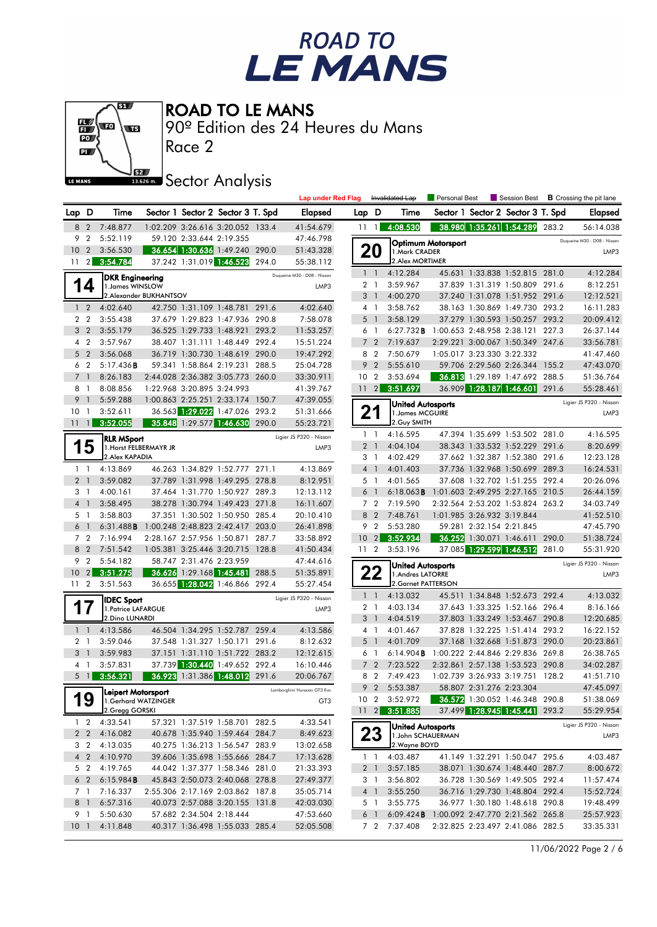



90º Edition des 24 Heures du Mans

Race 2

### **Sector Analysis**

|                 |                                  |                                       |                        |                            |                                                                  |       | <b>Lap under Red Flag</b>   |                 |                                  | Invalidated Lap                              | Personal Best              |                            | Session Best                                                       |       | <b>B</b> Crossing the pit lane  |
|-----------------|----------------------------------|---------------------------------------|------------------------|----------------------------|------------------------------------------------------------------|-------|-----------------------------|-----------------|----------------------------------|----------------------------------------------|----------------------------|----------------------------|--------------------------------------------------------------------|-------|---------------------------------|
| Lap D           |                                  | Time                                  |                        |                            | Sector 1 Sector 2 Sector 3 T. Spd                                |       | <b>Elapsed</b>              | Lap D           |                                  | Time                                         |                            |                            | Sector 1 Sector 2 Sector 3 T. Spd                                  |       | <b>Elapsed</b>                  |
| 8               | $\overline{2}$                   | 7:48.877                              |                        |                            | 1:02.209 3:26.616 3:20.052 133.4                                 |       | 41:54.679                   | 111             |                                  | 4:08.530                                     |                            |                            | 38.980 1:35.261 1:54.289                                           | 283.2 | 56:14.038                       |
| 9               | $\overline{2}$                   | 5:52.119                              |                        | 59.120 2:33.644 2:19.355   |                                                                  |       | 47:46.798                   |                 |                                  |                                              | <b>Optimum Motorsport</b>  |                            |                                                                    |       | Duqueine M30 - D08 - Nissan     |
| 10              | $\overline{2}$                   | 3:56.530                              |                        |                            | 36.654 1:30.636 1:49.240 290.0                                   |       | 51:43.328                   |                 | 20                               | 1.Mark CRADER                                |                            |                            |                                                                    |       | LMP3                            |
| 11              | $\overline{2}$                   | 3:54.784                              |                        |                            | 37.242 1:31.019 1:46.523 294.0                                   |       | 55:38.112                   |                 |                                  | 2. Alex MORTIMER                             |                            |                            |                                                                    |       |                                 |
|                 |                                  | <b>DKR Engineering</b>                |                        |                            |                                                                  |       | Duaueine M30 - D08 - Nissan |                 | $1\quad$                         | 4:12.284                                     |                            |                            | 45.631 1:33.838 1:52.815 281.0                                     |       | 4:12.284                        |
|                 | 14                               | 1. James WINSLOW                      |                        |                            |                                                                  |       | LMP3                        |                 | 2 <sub>1</sub>                   | 3:59.967                                     |                            |                            | 37.839 1:31.319 1:50.809 291.6                                     |       | 8:12.251                        |
|                 |                                  |                                       | 2.Alexander BUKHANTSOV |                            |                                                                  |       |                             |                 | 3 <sub>1</sub>                   | 4:00.270                                     |                            |                            | 37.240 1:31.078 1:51.952 291.6                                     |       | 12:12.521                       |
|                 | $1\quad 2$                       | 4:02.640                              |                        |                            | 42.750 1:31.109 1:48.781 291.6                                   |       | 4:02.640                    |                 | 4 1                              | 3:58.762                                     |                            |                            | 38.163 1:30.869 1:49.730 293.2                                     |       | 16:11.283                       |
|                 | 2 <sub>2</sub><br>3 <sub>2</sub> | 3:55.438<br>3:55.179                  |                        |                            | 37.679 1:29.823 1:47.936 290.8<br>36.525 1:29.733 1:48.921 293.2 |       | 7:58.078<br>11:53.257       |                 | 5 <sub>1</sub>                   | 3:58.129<br>6:27.732B                        | 1:00.653 2:48.958 2:38.121 |                            | 37.279 1:30.593 1:50.257 293.2                                     | 227.3 | 20:09.412<br>26:37.144          |
|                 | 4 <sub>2</sub>                   | 3:57.967                              |                        |                            | 38.407 1:31.111 1:48.449 292.4                                   |       | 15:51.224                   | 6               | $\overline{1}$<br>7 <sub>2</sub> | 7:19.637                                     |                            |                            | 2:29.221 3:00.067 1:50.349 247.6                                   |       | 33:56.781                       |
| 5               | $\overline{2}$                   | 3:56.068                              |                        |                            | 36.719 1:30.730 1:48.619 290.0                                   |       | 19:47.292                   | 8               | $\overline{2}$                   | 7:50.679                                     |                            | 1:05.017 3:23.330 3:22.332 |                                                                    |       | 41:47.460                       |
|                 | 6 <sub>2</sub>                   | 5:17.436B                             |                        |                            | 59.341 1:58.864 2:19.231 288.5                                   |       | 25:04.728                   | 9               | $\overline{2}$                   | 5:55.610                                     |                            |                            | 59.706 2:29.560 2:26.344 155.2                                     |       | 47:43.070                       |
| $\overline{7}$  | $\overline{1}$                   | 8:26.183                              |                        |                            | 2:44.028 2:36.382 3:05.773 260.0                                 |       | 33:30.911                   | 10 <sub>2</sub> |                                  | 3:53.694                                     |                            |                            | 36.813 1:29.189 1:47.692 288.5                                     |       | 51:36.764                       |
|                 | 8 1                              | 8:08.856                              |                        | 1:22.968 3:20.895 3:24.993 |                                                                  |       | 41:39.767                   | $11 \quad 2$    |                                  | 3:51.697                                     |                            |                            | 36.909 1:28.187 1:46.601 291.6                                     |       | 55:28.461                       |
| 9               | $\overline{1}$                   | 5:59.288                              |                        |                            | 1:00.863 2:25.251 2:33.174 150.7                                 |       | 47:39.055                   |                 |                                  |                                              |                            |                            |                                                                    |       |                                 |
| 10              | $\overline{1}$                   | 3:52.611                              |                        |                            | 36.563 1:29.022 1:47.026 293.2                                   |       | 51:31.666                   |                 | 21                               | <b>United Autosports</b><br>1. James MCGUIRE |                            |                            |                                                                    |       | Ligier JS P320 - Nissan<br>LMP3 |
| 11              | $\mathbf{1}$                     | 3:52.055                              |                        |                            | 35.848 1:29.577 1:46.630 290.0                                   |       | 55:23.721                   |                 |                                  | 2. Guy SMITH                                 |                            |                            |                                                                    |       |                                 |
|                 |                                  |                                       |                        |                            |                                                                  |       | Ligier JS P320 - Nissan     |                 | $1\quad$                         | 4:16.595                                     |                            |                            | 47.394 1:35.699 1:53.502 281.0                                     |       | 4:16.595                        |
|                 | 5                                | <b>RLR MSport</b>                     | 1. Horst FELBERMAYR JR |                            |                                                                  |       | LMP3                        |                 | 2 <sub>1</sub>                   | 4:04.104                                     |                            |                            | 38.343 1:33.532 1:52.229 291.6                                     |       | 8:20.699                        |
|                 |                                  | 2.Alex KAPADIA                        |                        |                            |                                                                  |       |                             |                 | 3 1                              | 4:02.429                                     |                            |                            | 37.662 1:32.387 1:52.380 291.6                                     |       | 12:23.128                       |
|                 | $1\quad$                         | 4:13.869                              |                        |                            | 46.263 1:34.829 1:52.777 271.1                                   |       | 4:13.869                    |                 | 4 <sup>1</sup>                   | 4:01.403                                     |                            |                            | 37.736 1:32.968 1:50.699 289.3                                     |       | 16:24.531                       |
|                 | 2 <sub>1</sub>                   | 3:59.082                              |                        |                            | 37.789 1:31.998 1:49.295 278.8                                   |       | 8:12.951                    |                 | 5 1                              | 4:01.565                                     |                            |                            | 37.608 1:32.702 1:51.255 292.4                                     |       | 20:26.096                       |
|                 | 3 1                              | 4:00.161                              |                        |                            | 37.464 1:31.770 1:50.927 289.3                                   |       | 12:13.112                   |                 | 6 1                              | $6:18.063$ <b>B</b>                          |                            |                            | 1:01.603 2:49.295 2:27.165 210.5                                   |       | 26:44.159                       |
| $\overline{4}$  | $\overline{1}$                   | 3:58.495                              |                        |                            | 38.278 1:30.794 1:49.423 271.8                                   |       | 16:11.607                   |                 | 7 <sub>2</sub>                   | 7:19.590                                     |                            |                            | 2:32.564 2:53.202 1:53.824 263.2                                   |       | 34:03.749                       |
|                 | 5 <sub>1</sub>                   | 3:58.803                              |                        |                            | 37.351 1:30.502 1:50.950 285.4                                   |       | 20:10.410                   |                 | 8 2                              | 7:48.761                                     |                            | 1:01.985 3:26.932 3:19.844 |                                                                    |       | 41:52.510                       |
| 6               | $\overline{1}$                   | 6:31.488B                             |                        |                            | 1:00.248 2:48.823 2:42.417 203.0                                 |       | 26:41.898                   |                 | 9 2                              | 5:53.280                                     |                            | 59.281 2:32.154 2:21.845   |                                                                    |       | 47:45.790                       |
|                 | 7 <sub>2</sub>                   | 7:16.994                              |                        |                            | 2:28.167 2:57.956 1:50.871 287.7                                 |       | 33:58.892                   | 10              | 2 <sup>1</sup>                   | 3:52.934                                     |                            |                            | $36.252$ 1:30.071 1:46.611                                         | 290.0 | 51:38.724                       |
| 8               | $\overline{2}$                   | 7:51.542                              |                        |                            | 1:05.381 3:25.446 3:20.715 128.8                                 |       | 41:50.434                   | 11 <sub>2</sub> |                                  | 3:53.196                                     |                            |                            | 37.085 1:29.599 1:46.512                                           | 281.0 | 55:31.920                       |
| 9               | $\overline{2}$                   | 5:54.182                              |                        | 58.747 2:31.476 2:23.959   |                                                                  |       | 47:44.616                   |                 |                                  | United Autosports                            |                            |                            |                                                                    |       | Ligier JS P320 - Nissan         |
| 10 <sup>°</sup> | $\overline{2}$                   | 3:51.275                              |                        |                            | 36.626 1:29.168 1:45.481                                         | 288.5 | 51:35.891                   |                 | 2 Z                              | 1.Andres LATORRE                             |                            |                            |                                                                    |       | LMP3                            |
| 11 <sub>2</sub> |                                  | 3:51.563                              |                        |                            | 36.655 1:28.042 1:46.866 292.4                                   |       | 55:27.454                   |                 |                                  | 2.Garnet PATTERSON                           |                            |                            |                                                                    |       |                                 |
|                 |                                  | <b>IDEC Sport</b>                     |                        |                            |                                                                  |       | Ligier JS P320 - Nissan     |                 | $1\quad1$                        | 4:13.032                                     |                            |                            | 45.511 1:34.848 1:52.673 292.4                                     |       | 4:13.032                        |
|                 |                                  | 1. Patrice LAFARGUE                   |                        |                            |                                                                  |       | LMP3                        |                 | 2 <sub>1</sub>                   | 4:03.134                                     |                            |                            | 37.643 1:33.325 1:52.166 296.4                                     |       | 8:16.166                        |
|                 |                                  | 2. Dino LUNARDI                       |                        |                            |                                                                  |       |                             |                 | 3 <sup>1</sup>                   | 4:04.519                                     |                            |                            | 37.803 1:33.249 1:53.467 290.8                                     |       | 12:20.685                       |
|                 | $1\quad$                         | 4:13.586                              |                        |                            | 46.504 1:34.295 1:52.787 259.4                                   |       | 4:13.586                    |                 | 4 1                              | 4:01.467                                     |                            |                            | 37.828 1:32.225 1:51.414 293.2                                     |       | 16:22.152                       |
| 3               | 2 <sub>1</sub><br>$\overline{1}$ | 3:59.046<br>3:59.983                  |                        |                            | 37.548 1:31.327 1:50.171<br>37.151 1:31.110 1:51.722 283.2       | 291.6 | 8:12.632<br>12:12.615       | 5<br>6          | $\overline{1}$<br>$\overline{1}$ | 4:01.709<br>6:14.904B                        |                            |                            | 37.168 1:32.668 1:51.873 290.0<br>1:00.222 2:44.846 2:29.836 269.8 |       | 20:23.861<br>26:38.765          |
|                 | 4 1                              | 3:57.831                              |                        |                            | 37.739 1:30.440 1:49.652 292.4                                   |       | 16:10.446                   |                 | 7 <sub>2</sub>                   | 7:23.522                                     |                            |                            | 2:32.861 2:57.138 1:53.523 290.8                                   |       | 34:02.287                       |
|                 | $5 \mid 1 \mid$                  | 3:56.321                              |                        |                            | 36.923 1:31.386 1:48.012 291.6                                   |       | 20:06.767                   | 8               | $\overline{2}$                   | 7:49.423                                     |                            |                            | 1:02.739 3:26.933 3:19.751 128.2                                   |       | 41:51.710                       |
|                 |                                  |                                       |                        |                            |                                                                  |       |                             | 9               | $\overline{2}$                   | 5:53.387                                     |                            | 58.807 2:31.276 2:23.304   |                                                                    |       | 47:45.097                       |
|                 | 19                               | Leipert Motorsport                    |                        |                            |                                                                  |       | Lamborghini Huracan GT3 Evo |                 |                                  | 10 2 3:52.972                                |                            |                            | 36.572 1:30.052 1:46.348 290.8                                     |       | 51:38.069                       |
|                 |                                  | 1.Gerhard WATZINGER<br>2.Gregg GORSKI |                        |                            |                                                                  |       | GT3                         |                 |                                  | 11 2 3:51.885                                |                            |                            | 37.499 1:28.945 1:45.441 293.2                                     |       | 55:29.954                       |
|                 | $1\quad 2$                       | 4:33.541                              |                        |                            | 57.321 1:37.519 1:58.701 282.5                                   |       | 4:33.541                    |                 |                                  |                                              |                            |                            |                                                                    |       |                                 |
|                 | 2 <sub>2</sub>                   | 4:16.082                              |                        |                            | 40.678 1:35.940 1:59.464 284.7                                   |       | 8:49.623                    |                 | 23                               | United Autosports<br>1.John SCHAUERMAN       |                            |                            |                                                                    |       | Ligier JS P320 - Nissan<br>LMP3 |
|                 | 3 <sub>2</sub>                   | 4:13.035                              |                        |                            | 40.275 1:36.213 1:56.547 283.9                                   |       | 13:02.658                   |                 |                                  | 2. Wayne BOYD                                |                            |                            |                                                                    |       |                                 |
|                 | 4 <sub>2</sub>                   | 4:10.970                              |                        |                            | 39.606 1:35.698 1:55.666 284.7                                   |       | 17:13.628                   |                 | $1\quad$                         | 4:03.487                                     |                            |                            | 41.149 1:32.291 1:50.047 295.6                                     |       | 4:03.487                        |
|                 | 5 <sub>2</sub>                   | 4:19.765                              |                        |                            | 44.042 1:37.377 1:58.346 281.0                                   |       | 21:33.393                   |                 | 2 <sub>1</sub>                   | 3:57.185                                     |                            |                            | 38.071 1:30.674 1:48.440 287.7                                     |       | 8:00.672                        |
|                 | 6 <sub>2</sub>                   | 6:15.984B                             |                        |                            | 45.843 2:50.073 2:40.068 278.8                                   |       | 27:49.377                   |                 | 3 1                              | 3:56.802                                     |                            |                            | 36.728 1:30.569 1:49.505 292.4                                     |       | 11:57.474                       |
|                 | 7 1                              | 7:16.337                              |                        |                            | 2:55.306 2:17.169 2:03.862 187.8                                 |       | 35:05.714                   |                 | 4 1                              | 3:55.250                                     |                            |                            | 36.716 1:29.730 1:48.804 292.4                                     |       | 15:52.724                       |
|                 | 8 1                              | 6:57.316                              |                        |                            | 40.073 2:57.088 3:20.155 131.8                                   |       | 42:03.030                   |                 | 5 1                              | 3:55.775                                     |                            |                            | 36.977 1:30.180 1:48.618 290.8                                     |       | 19:48.499                       |
|                 | 9 1                              | 5:50.630                              |                        | 57.682 2:34.504 2:18.444   |                                                                  |       | 47:53.660                   |                 | 6 <sup>1</sup>                   | 6:09.424B                                    |                            |                            | 1:00.092 2:47.770 2:21.562 265.8                                   |       | 25:57.923                       |
|                 | 10 <sub>1</sub>                  | 4:11.848                              |                        |                            | 40.317 1:36.498 1:55.033 285.4                                   |       | 52:05.508                   |                 |                                  | 7 2 7:37.408                                 |                            |                            | 2:32.825 2:23.497 2:41.086 282.5                                   |       | 33:35.331                       |
|                 |                                  |                                       |                        |                            |                                                                  |       |                             |                 |                                  |                                              |                            |                            |                                                                    |       |                                 |

11/06/2022 Page 2 / 6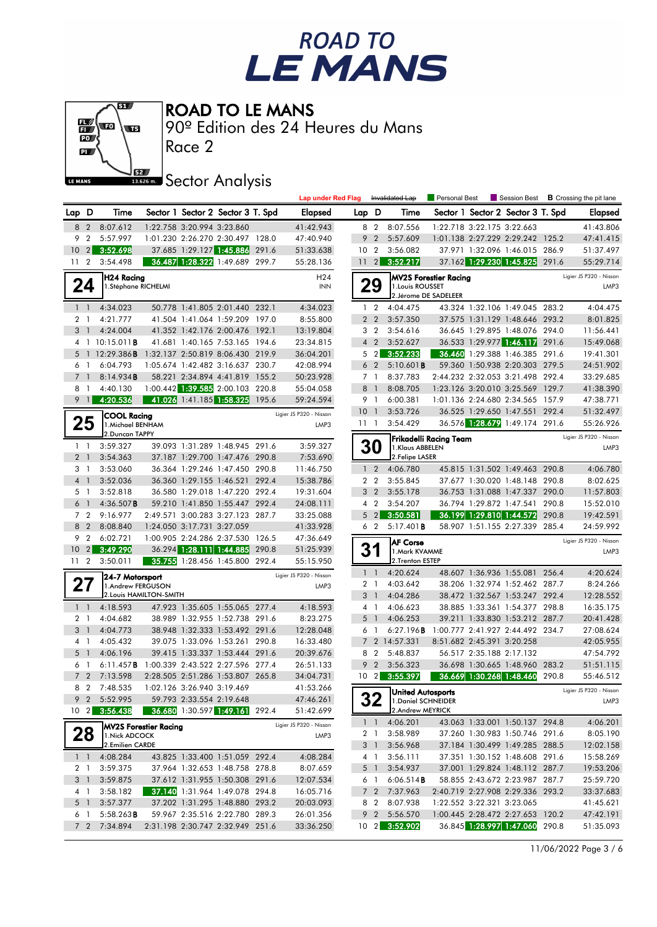



90º Edition des 24 Heures du Mans

Race 2

## **J**<br>Issuem Sector Analysis

|                |                                  |                                            |                            |                                                                  |       | <b>Lap under Red Flag</b> |                 |                                  | Invalidated Lap                          | Personal Best          | Session Best                                                     |       | <b>B</b> Crossing the pit lane  |
|----------------|----------------------------------|--------------------------------------------|----------------------------|------------------------------------------------------------------|-------|---------------------------|-----------------|----------------------------------|------------------------------------------|------------------------|------------------------------------------------------------------|-------|---------------------------------|
| Lap D          |                                  | Time                                       |                            | Sector 1 Sector 2 Sector 3 T. Spd                                |       | <b>Elapsed</b>            | Lap D           |                                  | Time                                     |                        | Sector 1 Sector 2 Sector 3 T. Spd                                |       | Elapsed                         |
| 8              | 2                                | 8:07.612                                   | 1:22.758 3:20.994 3:23.860 |                                                                  |       | 41:42.943                 |                 | 8 2                              | 8:07.556                                 |                        | 1:22.718 3:22.175 3:22.663                                       |       | 41:43.806                       |
| 9              | $\overline{2}$                   | 5:57.997                                   |                            | 1:01.230 2:26.270 2:30.497 128.0                                 |       | 47:40.940                 | 9               | $\overline{2}$                   | 5:57.609                                 |                        | 1:01.138 2:27.229 2:29.242 125.2                                 |       | 47:41.415                       |
|                | $10 \quad 2$                     | 3:52.698                                   |                            | 37.685 1:29.127 1:45.886 291.6                                   |       | 51:33.638                 | 10 <sub>2</sub> |                                  | 3:56.082                                 |                        | 37.971 1:32.096 1:46.015 286.9                                   |       | 51:37.497                       |
| 11             | $\overline{2}$                   | 3:54.498                                   |                            | 36.487 1:28.322 1:49.689 299.7                                   |       | 55:28.136                 |                 | $11 \quad 2$                     | 3:52.217                                 |                        | 37.162 1:29.230 1:45.825 291.6                                   |       | 55:29.714                       |
|                |                                  | <b>H24 Racing</b>                          |                            |                                                                  |       | H24                       |                 |                                  |                                          | MV2S Forestier Racing  |                                                                  |       | Ligier JS P320 - Nissan         |
|                | 24                               | 1.Stéphane RICHELMI                        |                            |                                                                  |       | <b>INN</b>                |                 | 29                               | 1. Louis ROUSSET                         |                        |                                                                  |       | LMP3                            |
|                |                                  | 4:34.023                                   |                            |                                                                  |       | 4:34.023                  |                 |                                  | 2. Jérome DE SADELEER                    |                        |                                                                  |       |                                 |
|                | $1\quad1$<br>2 <sub>1</sub>      | 4:21.777                                   |                            | 50.778 1:41.805 2:01.440 232.1<br>41.504 1:41.064 1:59.209 197.0 |       | 8:55.800                  |                 | $1\quad 2$<br>2 <sub>2</sub>     | 4:04.475<br>3:57.350                     |                        | 43.324 1:32.106 1:49.045 283.2<br>37.575 1:31.129 1:48.646 293.2 |       | 4:04.475<br>8:01.825            |
|                | 3 <sub>1</sub>                   | 4:24.004                                   |                            | 41.352 1:42.176 2:00.476 192.1                                   |       | 13:19.804                 |                 | 3 <sub>2</sub>                   | 3:54.616                                 |                        | 36.645 1:29.895 1:48.076 294.0                                   |       | 11:56.441                       |
|                |                                  | 4 1 10:15.011 <b>B</b>                     |                            | 41.681 1:40.165 7:53.165 194.6                                   |       | 23:34.815                 |                 | 4 <sub>2</sub>                   | 3:52.627                                 |                        | 36.533 1:29.977 1:46.117 291.6                                   |       | 15:49.068                       |
| 5              |                                  | 1 $12:29.386B$                             |                            | 1:32.137 2:50.819 8:06.430 219.9                                 |       | 36:04.201                 |                 | 5 <sub>2</sub>                   | 3:52.233                                 |                        | 36.460 1:29.388 1:46.385 291.6                                   |       | 19:41.301                       |
|                | 6 1                              | 6:04.793                                   |                            | 1:05.674 1:42.482 3:16.637 230.7                                 |       | 42:08.994                 |                 | 6 <sub>2</sub>                   | 5:10.601B                                |                        | 59.360 1:50.938 2:20.303 279.5                                   |       | 24:51.902                       |
| $\overline{7}$ | $\bigcirc$                       | 8:14.934B                                  |                            | 58.221 2:34.894 4:41.819 155.2                                   |       | 50:23.928                 |                 | 7 <sub>1</sub>                   | 8:37.783                                 |                        | 2:44.232 2:32.053 3:21.498 292.4                                 |       | 33:29.685                       |
|                | 8 1                              | 4:40.130                                   |                            | 1:00.442 1:39.585 2:00.103 220.8                                 |       | 55:04.058                 |                 | 8 1                              | 8:08.705                                 |                        | 1:23.126 3:20.010 3:25.569 129.7                                 |       | 41:38.390                       |
|                | $9 \quad 1$                      | 4:20.536                                   |                            | 41.026 1:41.185 1:58.325 195.6                                   |       | 59:24.594                 |                 | 9 1                              | 6:00.381                                 |                        | 1:01.136 2:24.680 2:34.565 157.9                                 |       | 47:38.771                       |
|                |                                  | <b>COOL Racing</b>                         |                            |                                                                  |       | Ligier JS P320 - Nissan   | $10-1$          |                                  | 3:53.726                                 |                        | 36.525 1:29.650 1:47.551 292.4                                   |       | 51:32.497                       |
|                | 25                               | 1. Michael BENHAM                          |                            |                                                                  |       | LMP3                      | 11 <sub>1</sub> |                                  | 3:54.429                                 |                        | 36.576 1:28.679 1:49.174 291.6                                   |       | 55:26.926                       |
|                |                                  | 2.Duncan TAPPY                             |                            |                                                                  |       |                           |                 |                                  |                                          | Frikadelli Racing Team |                                                                  |       | Ligier JS P320 - Nissan         |
|                | $1\quad$                         | 3:59.327                                   |                            | 39.093 1:31.289 1:48.945 291.6                                   |       | 3:59.327                  |                 | <b>30</b>                        | 1.Klaus ABBELEN                          |                        |                                                                  |       | LMP3                            |
|                | 2 <sub>1</sub>                   | 3:54.363                                   |                            | 37.187 1:29.700 1:47.476 290.8                                   |       | 7:53.690                  |                 |                                  | 2.Felipe LASER                           |                        |                                                                  |       |                                 |
|                | 31                               | 3:53.060                                   |                            | 36.364 1:29.246 1:47.450 290.8                                   |       | 11:46.750                 |                 | $1\quad 2$                       | 4:06.780                                 |                        | 45.815 1:31.502 1:49.463 290.8                                   |       | 4:06.780                        |
|                | 4 <sup>1</sup>                   | 3:52.036                                   |                            | 36.360 1:29.155 1:46.521 292.4                                   |       | 15:38.786                 |                 | 2 <sub>2</sub>                   | 3:55.845                                 |                        | 37.677 1:30.020 1:48.148 290.8                                   | 290.0 | 8:02.625                        |
| 5<br>6         | $\overline{1}$<br>$\overline{1}$ | 3:52.818<br>$4:36.507$ B                   |                            | 36.580 1:29.018 1:47.220 292.4<br>59.210 1:41.850 1:55.447 292.4 |       | 19:31.604<br>24:08.111    |                 | 3 <sub>2</sub><br>4 <sup>2</sup> | 3:55.178<br>3:54.207                     |                        | 36.753 1:31.088 1:47.337<br>36.794 1:29.872 1:47.541             | 290.8 | 11:57.803<br>15:52.010          |
|                | 7 <sub>2</sub>                   | 9:16.977                                   |                            | 2:49.571 3:00.283 3:27.123 287.7                                 |       | 33:25.088                 | 5               | $\overline{2}$                   | 3:50.581                                 |                        | 36.199 1:29.810 1:44.572                                         | 290.8 | 19:42.591                       |
|                | 8 2                              | 8:08.840                                   | 1:24.050 3:17.731 3:27.059 |                                                                  |       | 41:33.928                 |                 | 6 <sub>2</sub>                   | 5:17.401B                                |                        | 58.907 1:51.155 2:27.339 285.4                                   |       | 24:59.992                       |
| 9              | $\overline{2}$                   | 6:02.721                                   |                            | 1:00.905 2:24.286 2:37.530 126.5                                 |       | 47:36.649                 |                 |                                  |                                          |                        |                                                                  |       | Ligier JS P320 - Nissan         |
| 10             | $\vert$ 2                        | 3:49.290                                   |                            | 36.294 1:28.111 1:44.885                                         | 290.8 | 51:25.939                 |                 | 31                               | <b>AF Corse</b><br>1.Mark KVAMME         |                        |                                                                  |       | LMP3                            |
|                | 11 <sub>2</sub>                  | 3:50.011                                   |                            | 35.755 1:28.456 1:45.800 292.4                                   |       | 55:15.950                 |                 |                                  | 2.Trenton ESTEP                          |                        |                                                                  |       |                                 |
|                |                                  | 24-7 Motorsport                            |                            |                                                                  |       | Ligier JS P320 - Nissan   |                 | $1\quad1$                        | 4:20.624                                 |                        | 48.607 1:36.936 1:55.081 256.4                                   |       | 4:20.624                        |
|                | 21                               | 1.Andrew FERGUSON                          |                            |                                                                  |       | LMP3                      |                 | 2 <sub>1</sub>                   | 4:03.642                                 |                        | 38.206 1:32.974 1:52.462 287.7                                   |       | 8:24.266                        |
|                |                                  | 2. Louis HAMILTON-SMITH                    |                            |                                                                  |       |                           |                 | 3 <sup>1</sup>                   | 4:04.286                                 |                        | 38.472 1:32.567 1:53.247 292.4                                   |       | 12:28.552                       |
|                | $1\quad$                         | 4:18.593                                   |                            | 47.923 1:35.605 1:55.065 277.4                                   |       | 4:18.593                  |                 | 4 <sup>1</sup>                   | 4:06.623                                 |                        | 38.885 1:33.361 1:54.377 298.8                                   |       | 16:35.175                       |
|                | 2 <sub>1</sub>                   | 4:04.682                                   |                            | 38.989 1:32.955 1:52.738 291.6                                   |       | 8:23.275                  |                 | 5 <sub>1</sub>                   | 4:06.253                                 |                        | 39.211 1:33.830 1:53.212 287.7                                   |       | 20:41.428                       |
|                | 3 <sup>1</sup>                   | 4:04.773                                   |                            | 38.948 1:32.333 1:53.492 291.6                                   |       | 12:28.048                 | 6               | $\overline{1}$                   | 6:27.196B                                |                        | 1:00.777 2:41.927 2:44.492 234.7                                 |       | 27:08.624                       |
|                | 4 1<br>5 1                       | 4:05.432<br>4:06.196                       |                            | 39.075 1:33.096 1:53.261 290.8<br>39.415 1:33.337 1:53.444 291.6 |       | 16:33.480<br>20:39.676    |                 | 8 2                              | 7 2 14:57.331<br>5:48.837                |                        | 8:51.682 2:45.391 3:20.258<br>56.517 2:35.188 2:17.132           |       | 42:05.955<br>47:54.792          |
|                | 6 1                              | 6:11.457B 1:00.339 2:43.522 2:27.596 277.4 |                            |                                                                  |       | 26:51.133                 |                 | 9 <sub>2</sub>                   | 3:56.323                                 |                        | 36.698 1:30.665 1:48.960 283.2                                   |       | 51:51.115                       |
|                | 7 <sup>2</sup>                   | 7:13.598                                   |                            | 2:28.505 2:51.286 1:53.807 265.8                                 |       | 34:04.731                 |                 |                                  | 10 2 3:55.397                            |                        | 36.669 1:30.268 1:48.460 290.8                                   |       | 55:46.512                       |
|                |                                  | 8 2 7:48.535                               | 1:02.126 3:26.940 3:19.469 |                                                                  |       | 41:53.266                 |                 |                                  |                                          |                        |                                                                  |       |                                 |
|                |                                  | 9 2 5:52.995                               | 59.793 2:33.554 2:19.648   |                                                                  |       | 47:46.261                 |                 | 32                               | United Autosports<br>1. Daniel SCHNEIDER |                        |                                                                  |       | Ligier JS P320 - Nissan<br>LMP3 |
|                |                                  | 10 2 3:56.438                              |                            | 36.680 1:30.597 1:49.161 292.4                                   |       | 51:42.699                 |                 |                                  | 2.Andrew MEYRICK                         |                        |                                                                  |       |                                 |
|                |                                  | <b>MV2S Forestier Racing</b>               |                            |                                                                  |       | Ligier JS P320 - Nissan   |                 | $1\quad1$                        | 4:06.201                                 |                        | 43.063 1:33.001 1:50.137 294.8                                   |       | 4:06.201                        |
|                | 28                               | 1. Nick ADCOCK                             |                            |                                                                  |       | LMP3                      |                 | 2 1                              | 3:58.989                                 |                        | 37.260 1:30.983 1:50.746 291.6                                   |       | 8:05.190                        |
|                |                                  | 2.Emilien CARDE                            |                            |                                                                  |       |                           |                 | 3 1                              | 3:56.968                                 |                        | 37.184 1:30.499 1:49.285 288.5                                   |       | 12:02.158                       |
|                | $1\quad$                         | 4:08.284                                   |                            | 43.825 1:33.400 1:51.059 292.4                                   |       | 4:08.284                  |                 | 4 1                              | 3:56.111                                 |                        | 37.351 1:30.152 1:48.608 291.6                                   |       | 15:58.269                       |
|                | 2 1                              | 3:59.375                                   |                            | 37.964 1:32.653 1:48.758 278.8                                   |       | 8:07.659                  |                 | 5 <sup>1</sup>                   | 3:54.937                                 |                        | 37.001 1:29.824 1:48.112 287.7                                   |       | 19:53.206                       |
|                | 3 1                              | 3:59.875                                   |                            | 37.612 1:31.955 1:50.308 291.6                                   |       | 12:07.534                 |                 | 6 1                              | 6:06.514B                                |                        | 58.855 2:43.672 2:23.987 287.7                                   |       | 25:59.720                       |
|                | 4 1                              | 3:58.182                                   |                            | 37.140 1:31.964 1:49.078 294.8                                   |       | 16:05.716                 |                 |                                  | 7 2 7:37.963                             |                        | 2:40.719 2:27.908 2:29.336 293.2                                 |       | 33:37.683                       |
|                | 5 <sub>1</sub>                   | 3:57.377                                   |                            | 37.202 1:31.295 1:48.880 293.2                                   |       | 20:03.093                 |                 | 8 2                              | 8:07.938                                 |                        | 1:22.552 3:22.321 3:23.065<br>1:00.445 2:28.472 2:27.653 120.2   |       | 41:45.621                       |
|                | 6 1<br>7 <sub>2</sub>            | 5:58.263B<br>7:34.894                      |                            | 59.967 2:35.516 2:22.780 289.3                                   |       | 26:01.356                 |                 | 9 <sub>2</sub>                   | 5:56.570<br>10 2 3:52.902                |                        |                                                                  |       | 47:42.191<br>51:35.093          |
|                |                                  |                                            |                            | 2:31.198 2:30.747 2:32.949 251.6                                 |       | 33:36.250                 |                 |                                  |                                          |                        | 36.845 1:28.997 1:47.060 290.8                                   |       |                                 |

11/06/2022 Page 3 / 6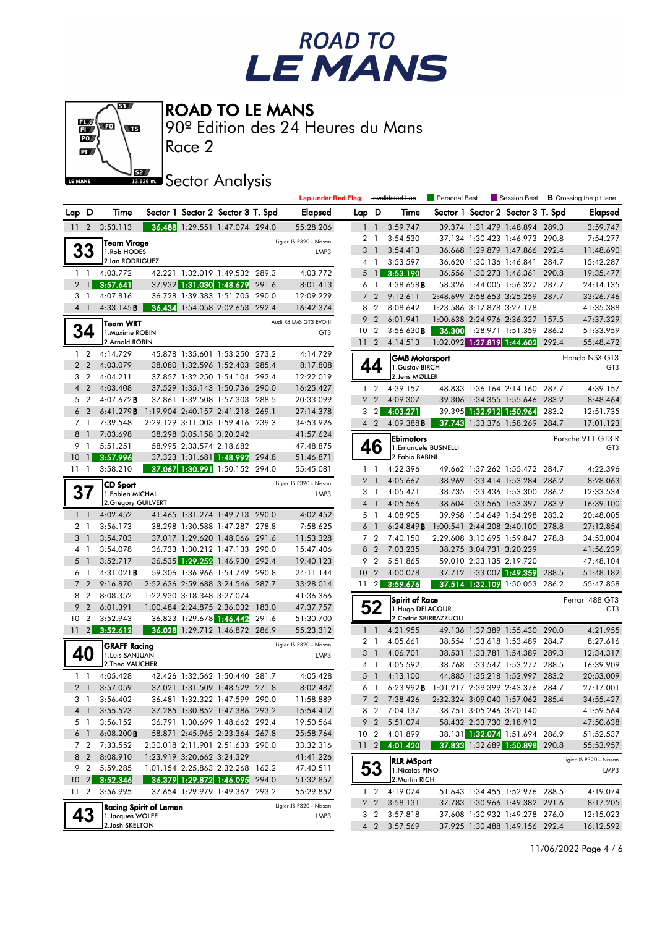



90º Edition des 24 Heures du Mans

Race 2

#### **ISBE Sector Analysis**

|                 |                 |                     |                                  |                            |                                   | <b>Lap under Red Flag</b> |                 |                 | Invalidated Lap       | Personal Best                              |                            | Session Best                      |       | <b>B</b> Crossing the pit lane |
|-----------------|-----------------|---------------------|----------------------------------|----------------------------|-----------------------------------|---------------------------|-----------------|-----------------|-----------------------|--------------------------------------------|----------------------------|-----------------------------------|-------|--------------------------------|
| Lap D           |                 | Time                |                                  |                            | Sector 1 Sector 2 Sector 3 T. Spd | <b>Elapsed</b>            | Lap D           |                 | Time                  |                                            |                            | Sector 1 Sector 2 Sector 3 T. Spd |       | <b>Elapsed</b>                 |
| 11              | $\overline{2}$  | 3:53.113            |                                  |                            | 36.488 1:29.551 1:47.074 294.0    | 55:28.206                 |                 | $1\quad$        | 3:59.747              |                                            |                            | 39.374 1:31.479 1:48.894 289.3    |       | 3:59.747                       |
|                 |                 | <b>Team Virage</b>  |                                  |                            |                                   | Ligier JS P320 - Nissan   |                 | 2 <sub>1</sub>  | 3:54.530              |                                            |                            | 37.134 1:30.423 1:46.973 290.8    |       | 7:54.277                       |
|                 | 33              | 1.Rob HODES         |                                  |                            |                                   | LMP3                      |                 | 3 <sup>1</sup>  | 3:54.413              |                                            |                            | 36.668 1:29.879 1:47.866 292.4    |       | 11:48.690                      |
|                 |                 | 2.lan RODRIGUEZ     |                                  |                            |                                   |                           |                 | 4 1             | 3:53.597              |                                            |                            | 36.620 1:30.136 1:46.841 284.7    |       | 15:42.287                      |
|                 | $1\quad$        | 4:03.772            |                                  |                            | 42.221 1:32.019 1:49.532 289.3    | 4:03.772                  |                 | 5 <sub>1</sub>  | 3:53.190              |                                            |                            | 36.556 1:30.273 1:46.361 290.8    |       | 19:35.477                      |
|                 | 2 <sub>1</sub>  | 3:57.641            |                                  |                            | 37.932 1:31.030 1:48.679 291.6    | 8:01.413                  |                 | 6 1             | 4:38.658B             |                                            |                            | 58.326 1:44.005 1:56.327 287.7    |       | 24:14.135                      |
|                 | 31              | 4:07.816            |                                  |                            | 36.728 1:39.383 1:51.705 290.0    | 12:09.229                 |                 | 7 <sub>2</sub>  | 9:12.611              |                                            |                            | 2:48.699 2:58.653 3:25.259 287.7  |       | 33:26.746                      |
|                 | 4 <sup>1</sup>  | 4:33.145B           |                                  |                            | 36.434 1:54.058 2:02.653 292.4    | 16:42.374                 |                 | 8 2             | 8:08.642              |                                            | 1:23.586 3:17.878 3:27.178 |                                   |       | 41:35.388                      |
|                 |                 | Team WRT            |                                  |                            |                                   | Audi R8 LMS GT3 EVO II    | 9               | $\overline{2}$  | 6:01.941              |                                            |                            | 1:00.638 2:24.976 2:36.327 157.5  |       | 47:37.329                      |
|                 | 34              | 1. Maxime ROBIN     |                                  |                            |                                   | GT <sub>3</sub>           | 10 <sub>2</sub> |                 | 3:56.630B             |                                            |                            | 36.300 1:28.971 1:51.359 286.2    |       | 51:33.959                      |
|                 |                 | 2.Arnold ROBIN      |                                  |                            |                                   |                           |                 | 11 <sub>2</sub> | 4:14.513              |                                            |                            | 1:02.092 1:27.819 1:44.602 292.4  |       | 55:48.472                      |
|                 | $1\quad 2$      | 4:14.729            |                                  |                            | 45.878 1:35.601 1:53.250 273.2    | 4:14.729                  |                 |                 | GMB Motorsport        |                                            |                            |                                   |       | Honda NSX GT3                  |
|                 | 2 <sub>2</sub>  | 4:03.079            |                                  |                            | 38.080 1:32.596 1:52.403 285.4    | 8:17.808                  |                 | 44              | 1. Gustav BIRCH       |                                            |                            |                                   |       | GT <sub>3</sub>                |
|                 | 3 <sub>2</sub>  | 4:04.211            |                                  |                            | 37.857 1:32.250 1:54.104 292.4    | 12:22.019                 |                 |                 | 2. Jens MØLLER        |                                            |                            |                                   |       |                                |
|                 | $4\quad2$       | 4:03.408            |                                  |                            | 37.529 1:35.143 1:50.736 290.0    | 16:25.427                 |                 | $1\quad 2$      | 4:39.157              |                                            |                            | 48.833 1:36.164 2:14.160 287.7    |       | 4:39.157                       |
|                 | 5 <sub>2</sub>  | $4:07.672$ B        |                                  |                            | 37.861 1:32.508 1:57.303 288.5    | 20:33.099                 |                 | 2 <sub>2</sub>  | 4:09.307              |                                            |                            | 39.306 1:34.355 1:55.646 283.2    |       | 8:48.464                       |
|                 | 6 <sub>2</sub>  | 6:41.279B           | 1:19.904 2:40.157 2:41.218 269.1 |                            |                                   | 27:14.378                 |                 | 3 <sub>2</sub>  | 4:03.271              |                                            |                            | 39.395 1:32.912 1:50.964          | 283.2 | 12:51.735                      |
|                 | 7 <sub>1</sub>  | 7:39.548            |                                  |                            | 2:29.129 3:11.003 1:59.416 239.3  | 34:53.926                 |                 | 4 2             | 4:09.388B             |                                            |                            | 37.743 1:33.376 1:58.269          | 284.7 | 17:01.123                      |
| 8               | $\overline{1}$  | 7:03.698            |                                  | 38.298 3:05.158 3:20.242   |                                   | 41:57.624                 |                 |                 | <b>Ebimotors</b>      |                                            |                            |                                   |       | Porsche 911 GT3 R              |
| 9               | $\overline{1}$  | 5:51.251            |                                  | 58.995 2:33.574 2:18.682   |                                   | 47:48.875                 |                 | 46              | 1.Emanuele BUSNELLI   |                                            |                            |                                   |       | GT <sub>3</sub>                |
| 10              | $\overline{1}$  | 3:57.996            |                                  |                            | 37.323 1:31.681 1:48.992 294.8    | 51:46.871                 |                 |                 | 2. Fabio BABINI       |                                            |                            |                                   |       |                                |
| 111             |                 | 3:58.210            |                                  |                            | 37.067 1:30.991 1:50.152 294.0    | 55:45.081                 |                 | $1\quad$        | 4:22.396              |                                            |                            | 49.662 1:37.262 1:55.472 284.7    |       | 4:22.396                       |
|                 |                 | CD Sport            |                                  |                            |                                   | Ligier JS P320 - Nissan   |                 | 2 <sub>1</sub>  | 4:05.667              |                                            |                            | 38.969 1:33.414 1:53.284 286.2    |       | 8:28.063                       |
|                 | 37              | 1. Fabien MICHAL    |                                  |                            |                                   | LMP3                      |                 | $3-1$           | 4:05.471              |                                            |                            | 38.735 1:33.436 1:53.300 286.2    |       | 12:33.534                      |
|                 |                 | 2. Grégory GUILVERT |                                  |                            |                                   |                           |                 | 4 <sup>1</sup>  | 4:05.566              |                                            |                            | 38.604 1:33.565 1:53.397 283.9    |       | 16:39.100                      |
|                 | $1\quad$        | 4:02.452            |                                  |                            | 41.465 1:31.274 1:49.713 290.0    | 4:02.452                  |                 | 5 <sub>1</sub>  | 4:08.905              |                                            |                            | 39.958 1:34.649 1:54.298 283.2    |       | 20:48.005                      |
|                 | 2 <sub>1</sub>  | 3:56.173            |                                  |                            | 38.298 1:30.588 1:47.287 278.8    | 7:58.625                  | 6               | $\overline{1}$  | 6:24.849B             |                                            |                            | 1:00.541 2:44.208 2:40.100 278.8  |       | 27:12.854                      |
| 3               | $\overline{1}$  | 3:54.703            |                                  |                            | 37.017 1:29.620 1:48.066 291.6    | 11:53.328                 |                 | 7 <sub>2</sub>  | 7:40.150              |                                            |                            | 2:29.608 3:10.695 1:59.847 278.8  |       | 34:53.004                      |
|                 | 4 1             | 3:54.078            |                                  |                            | 36.733 1:30.212 1:47.133 290.0    | 15:47.406                 |                 | 8 2             | 7:03.235              |                                            | 38.275 3:04.731 3:20.229   |                                   |       | 41:56.239                      |
| 5               | $\overline{1}$  | 3:52.717            |                                  |                            | 36.535 1:29.252 1:46.930 292.4    | 19:40.123                 | 9               | $\overline{2}$  | 5:51.865              |                                            | 59.010 2:33.135 2:19.720   |                                   |       | 47:48.104                      |
| 6               | $\overline{1}$  | 4:31.021B           |                                  |                            | 59.306 1:36.966 1:54.749 290.8    | 24:11.144                 | 10 <sub>2</sub> |                 | 4:00.078              |                                            |                            | 37.712 1:33.007 1:49.359          | 288.5 | 51:48.182                      |
| $\overline{7}$  | $\overline{2}$  | 9:16.870            |                                  |                            | 2:52.636 2:59.688 3:24.546 287.7  | 33:28.014                 |                 | $11 \quad 2$    | 3:59.676              |                                            |                            | 37.514 1:32.109 1:50.053 286.2    |       | 55:47.858                      |
|                 | 8 2             | 8:08.352            |                                  | 1:22.930 3:18.348 3:27.074 |                                   | 41:36.366                 |                 |                 | <b>Spirit of Race</b> |                                            |                            |                                   |       | Ferrari 488 GT3                |
| 9               | $\overline{2}$  | 6:01.391            |                                  |                            | 1:00.484 2:24.875 2:36.032 183.0  | 47:37.757                 |                 | 52              | 1. Hugo DELACOUR      |                                            |                            |                                   |       | GT <sub>3</sub>                |
| 10 <sub>2</sub> |                 | 3:52.943            |                                  |                            | 36.823 1:29.678 1:46.442 291.6    | 51:30.700                 |                 |                 |                       | 2. Cedric SBIRRAZZUOLI                     |                            |                                   |       |                                |
|                 | $11 \quad 2$    | 3:52.612            |                                  |                            | 36.028 1:29.712 1:46.872 286.9    | 55:23.312                 |                 | $1\quad$        | 4:21.955              |                                            |                            | 49.136 1:37.389 1:55.430 290.0    |       | 4:21.955                       |
|                 |                 | <b>GRAFF Racing</b> |                                  |                            |                                   | Ligier JS P320 - Nissan   |                 | 2 <sub>1</sub>  | 4:05.661              |                                            |                            | 38.554 1:33.618 1:53.489 284.7    |       | 8:27.616                       |
|                 | 40              | 1. Luis SANJUAN     |                                  |                            |                                   | LMP3                      |                 | 3 1             | 4:06.701              |                                            |                            | 38.531 1:33.781 1:54.389 289.3    |       | 12:34.317                      |
|                 |                 | 2. Théo VAUCHER     |                                  |                            |                                   |                           |                 | 4 1             | 4:05.592              |                                            |                            | 38.768 1:33.547 1:53.277 288.5    |       | 16:39.909                      |
|                 | $1\quad1$       | 4:05.428            |                                  |                            | 42.426 1:32.562 1:50.440 281.7    | 4:05.428                  |                 | 5 <sub>1</sub>  | 4:13.100              |                                            |                            | 44.885 1:35.218 1:52.997 283.2    |       | 20:53.009                      |
|                 | 2 <sub>1</sub>  | 3:57.059            |                                  |                            | 37.021 1:31.509 1:48.529 271.8    | 8:02.487                  |                 | 6 1             |                       | 6:23.992B 1:01.217 2:39.399 2:43.376 284.7 |                            |                                   |       | 27:17.001                      |
|                 | 31              | 3:56.402            |                                  |                            | 36.481 1:32.322 1:47.599 290.0    | 11:58.889                 |                 |                 | 7 2 7:38.426          |                                            |                            | 2:32.324 3:09.040 1:57.062 285.4  |       | 34:55.427                      |
|                 | 4 1             | 3:55.523            |                                  |                            | 37.285 1:30.852 1:47.386 293.2    | 15:54.412                 |                 |                 | 8 2 7:04.137          |                                            |                            | 38.751 3:05.246 3:20.140          |       | 41:59.564                      |
|                 | 5 1             | 3:56.152            |                                  |                            | 36.791 1:30.699 1:48.662 292.4    | 19:50.564                 |                 |                 | 9 2 5:51.074          |                                            |                            | 58.432 2:33.730 2:18.912          |       | 47:50.638                      |
|                 | 6 1             | 6:08.200B           |                                  |                            | 58.871 2:45.965 2:23.364 267.8    | 25:58.764                 |                 |                 | 10 2 4:01.899         |                                            |                            | 38.131 1:32.074 1:51.694 286.9    |       | 51:52.537                      |
|                 | 7 2             | 7:33.552            |                                  |                            | 2:30.018 2:11.901 2:51.633 290.0  | 33:32.316                 |                 | $11 \quad 2$    | 4:01.420              |                                            |                            | 37.833 1:32.689 1:50.898 290.8    |       | 55:53.957                      |
|                 | 8 2             | 8:08.910            |                                  | 1:23.919 3:20.662 3:24.329 |                                   | 41:41.226                 |                 |                 | <b>RLR MSport</b>     |                                            |                            |                                   |       | Ligier JS P320 - Nissan        |
|                 | 9 2             | 5:59.285            |                                  |                            | 1:01.154 2:25.863 2:32.268 162.2  | 47:40.511                 |                 | 53              | 1. Nicolas PINO       |                                            |                            |                                   |       | LMP3                           |
|                 | $10 \quad 2$    | 3:52.346            |                                  |                            | 36.379 1:29.872 1:46.095 294.0    | 51:32.857                 |                 |                 | 2. Martin RICH        |                                            |                            |                                   |       |                                |
|                 | 11 <sub>2</sub> | 3:56.995            |                                  |                            | 37.654 1:29.979 1:49.362 293.2    | 55:29.852                 |                 | $1\quad 2$      | 4:19.074              |                                            |                            | 51.643 1:34.455 1:52.976 288.5    |       | 4:19.074                       |
|                 |                 |                     | <b>Racing Spirit of Leman</b>    |                            |                                   | Ligier JS P320 - Nissan   |                 |                 | 2 2 3:58.131          |                                            |                            | 37.783 1:30.966 1:49.382 291.6    |       | 8:17.205                       |
|                 | 43              | 1. Jacques WOLFF    |                                  |                            |                                   | LMP3                      |                 | 3 <sub>2</sub>  | 3:57.818              |                                            |                            | 37.608 1:30.932 1:49.278 276.0    |       | 12:15.023                      |
|                 |                 | 2. Josh SKELTON     |                                  |                            |                                   |                           |                 |                 | 4 2 3:57.569          |                                            |                            | 37.925 1:30.488 1:49.156 292.4    |       | 16:12.592                      |
|                 |                 |                     |                                  |                            |                                   |                           |                 |                 |                       |                                            |                            |                                   |       |                                |

11/06/2022 Page 4 / 6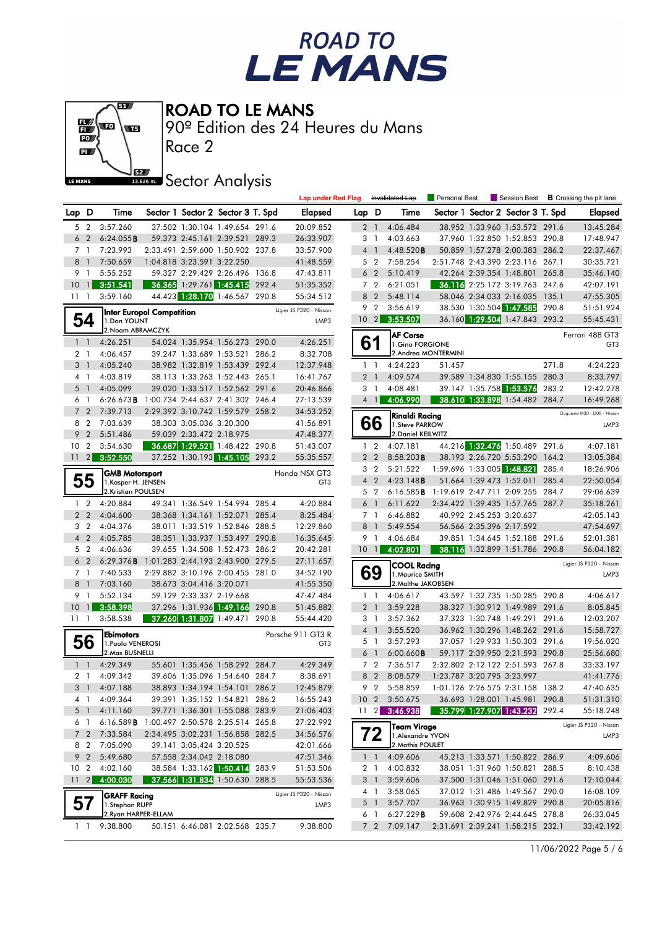



90º Edition des 24 Heures du Mans

Race 2

## **J**<br>Issuem Sector Analysis

|                 |                              |                                            |                                  |                                                      |       | <b>Lap under Red Flag</b> |                 |                | Invalidated Lap                        | Personal Best                    |                            | Session Best                      |       | <b>B</b> Crossing the pit lane |
|-----------------|------------------------------|--------------------------------------------|----------------------------------|------------------------------------------------------|-------|---------------------------|-----------------|----------------|----------------------------------------|----------------------------------|----------------------------|-----------------------------------|-------|--------------------------------|
| Lap D           |                              | Time                                       |                                  | Sector 1 Sector 2 Sector 3 T. Spd                    |       | <b>Elapsed</b>            | Lap D           |                | Time                                   |                                  |                            | Sector 1 Sector 2 Sector 3 T. Spd |       | Elapsed                        |
| 5               | $\overline{2}$               | 3:57.260                                   |                                  | 37.502 1:30.104 1:49.654 291.6                       |       | 20:09.852                 |                 | 2 <sub>1</sub> | 4:06.484                               |                                  |                            | 38.952 1:33.960 1:53.572 291.6    |       | 13:45.284                      |
| 6               | $\overline{2}$               | 6:24.055B                                  |                                  | 59.373 2:45.161 2:39.521 289.3                       |       | 26:33.907                 |                 | 3 1            | 4:03.663                               |                                  |                            | 37.960 1:32.850 1:52.853 290.8    |       | 17:48.947                      |
| 7 1             |                              | 7:23.993                                   |                                  | 2:33.491 2:59.600 1:50.902 237.8                     |       | 33:57.900                 |                 | 4 1            | 4:48.520B                              |                                  |                            | 50.859 1:57.278 2:00.383 286.2    |       | 22:37.467                      |
| 8 <sup>1</sup>  |                              | 7:50.659                                   |                                  | 1:04.818 3:23.591 3:22.250                           |       | 41:48.559                 |                 | 5 <sub>2</sub> | 7:58.254                               |                                  |                            | 2:51.748 2:43.390 2:23.116 267.1  |       | 30:35.721                      |
| $\overline{9}$  | $\overline{1}$               | 5:55.252                                   |                                  | 59.327 2:29.429 2:26.496 136.8                       |       | 47:43.811                 |                 | 6 <sub>2</sub> | 5:10.419                               |                                  |                            | 42.264 2:39.354 1:48.801 265.8    |       | 35:46.140                      |
| 10              | $\mathbf{1}$                 | 3:51.541                                   |                                  | 36.365 1:29.761 1:45.415 292.4                       |       | 51:35.352                 |                 | 7 <sub>2</sub> | 6:21.051                               |                                  |                            | 36.116 2:25.172 3:19.763 247.6    |       | 42:07.191                      |
| 1111            |                              | 3:59.160                                   |                                  | 44.423 1:28.170 1:46.567 290.8                       |       | 55:34.512                 |                 | 8 2            | 5:48.114                               |                                  |                            | 58.046 2:34.033 2:16.035 135.1    |       | 47:55.305                      |
|                 |                              |                                            | <b>Inter Europol Competition</b> |                                                      |       | Ligier JS P320 - Nissan   |                 | 9 2            | 3:56.619                               |                                  |                            | 38.530 1:30.504 1:47.585 290.8    |       | 51:51.924                      |
|                 | 54                           | 1.Don YOUNT                                |                                  |                                                      |       | LMP3                      |                 |                | 10 2 3:53.507                          |                                  |                            | 36.160 1:29.504 1:47.843 293.2    |       | 55:45.431                      |
|                 |                              | 2. Noam ABRAMCZYK                          |                                  |                                                      |       |                           |                 |                | <b>AF Corse</b>                        |                                  |                            |                                   |       | Ferrari 488 GT3                |
| $1\quad$        |                              | 4:26.251                                   |                                  | 54.024 1:35.954 1:56.273 290.0                       |       | 4:26.251                  |                 | 61             | 1.Gino FORGIONE                        |                                  |                            |                                   |       | GT <sub>3</sub>                |
| 2 <sub>1</sub>  |                              | 4:06.457                                   |                                  | 39.247 1:33.689 1:53.521 286.2                       |       | 8:32.708                  |                 |                |                                        | 2.Andrea MONTERMINI              |                            |                                   |       |                                |
| 3               | $\overline{1}$               | 4:05.240                                   |                                  | 38.982 1:32.819 1:53.439 292.4                       |       | 12:37.948                 |                 | $1\quad$       | 4:24.223                               | 51.457                           |                            |                                   | 271.8 | 4:24.223                       |
| 4 1             |                              | 4:03.819                                   |                                  | 38.113 1:33.263 1:52.443 265.1                       |       | 16:41.767                 |                 | 2 <sub>1</sub> | 4:09.574                               |                                  |                            | 39.589 1:34.830 1:55.155 280.3    |       | 8:33.797                       |
| 5 <sub>1</sub>  |                              | 4:05.099                                   |                                  | 39.020 1:33.517 1:52.562 291.6                       |       | 20:46.866                 |                 | 3 1            | 4:08.481                               |                                  |                            | 39.147 1:35.758 1:53.576 283.2    |       | 12:42.278                      |
| 6               | $\overline{1}$               | 6:26.673B 1:00.734 2:44.637 2:41.302 246.4 |                                  |                                                      |       | 27:13.539                 |                 | $4 \mid$       | 4:06.990                               |                                  |                            | 38.610 1:33.898 1:54.482 284.7    |       | 16:49.268                      |
| 7 <sub>2</sub>  |                              | 7:39.713                                   |                                  | 2:29.392 3:10.742 1:59.579 258.2                     |       | 34:53.252                 |                 |                | Rinaldi Racing                         |                                  |                            |                                   |       | Duqueine M30 - D08 - Nissan    |
| 8 2<br>9        | $\overline{2}$               | 7:03.639                                   |                                  | 38.303 3:05.036 3:20.300<br>59.039 2:33.472 2:18.975 |       | 41:56.891                 |                 | 66             | 1. Steve PARROW<br>2. Daniel KEILWITZ  |                                  |                            |                                   |       | LMP3                           |
| 10 <sub>2</sub> |                              | 5:51.486<br>3:54.630                       |                                  | 36.687 1:29.521 1:48.422 290.8                       |       | 47:48.377<br>51:43.007    |                 | $1\quad 2$     | 4:07.181                               |                                  |                            | 44.216 1:32.476 1:50.489 291.6    |       | 4:07.181                       |
| 11              | $\left  \frac{2}{2} \right $ | 3:52.550                                   |                                  | 37.252 1:30.193 1:45.105                             | 293.2 | 55:35.557                 |                 | 2 <sub>2</sub> | 8:58.203B                              |                                  |                            | 38.193 2:26.720 5:53.290 164.2    |       | 13:05.384                      |
|                 |                              |                                            |                                  |                                                      |       |                           |                 | 3 <sub>2</sub> | 5:21.522                               |                                  |                            | 1:59.696 1:33.005 1:48.821        | 285.4 | 18:26.906                      |
|                 |                              | <b>GMB Motorsport</b>                      |                                  |                                                      |       | Honda NSX GT3             |                 | $4\quad2$      | 4:23.148B                              |                                  |                            | 51.664 1:39.473 1:52.011 285.4    |       | 22:50.054                      |
| 55              |                              | 1. Kasper H. JENSEN<br>2.Kristian POULSEN  |                                  |                                                      |       | GT <sub>3</sub>           |                 | 5 <sub>2</sub> | $6:16.585$ <b>B</b>                    | 1:19.619 2:47.711 2:09.255 284.7 |                            |                                   |       | 29:06.639                      |
| $1\quad 2$      |                              | 4:20.884                                   |                                  | 49.341 1:36.549 1:54.994 285.4                       |       | 4:20.884                  |                 | 6 <sup>1</sup> | 6:11.622                               |                                  |                            | 2:34.422 1:39.435 1:57.765 287.7  |       | 35:18.261                      |
| 2 <sub>2</sub>  |                              | 4:04.600                                   |                                  | 38.368 1:34.161 1:52.071 285.4                       |       | 8:25.484                  |                 | 7 <sub>1</sub> | 6:46.882                               |                                  | 40.992 2:45.253 3:20.637   |                                   |       | 42:05.143                      |
| 3 <sub>2</sub>  |                              | 4:04.376                                   |                                  | 38.011 1:33.519 1:52.846 288.5                       |       | 12:29.860                 |                 | 8 <sup>1</sup> | 5:49.554                               |                                  | 56.566 2:35.396 2:17.592   |                                   |       | 47:54.697                      |
| $\overline{4}$  | $\overline{2}$               | 4:05.785                                   |                                  | 38.351 1:33.937 1:53.497 290.8                       |       | 16:35.645                 | 9               | $\overline{1}$ | 4:06.684                               |                                  |                            | 39.851 1:34.645 1:52.188 291.6    |       | 52:01.381                      |
| 5 <sub>2</sub>  |                              | 4:06.636                                   |                                  | 39.655 1:34.508 1:52.473 286.2                       |       | 20:42.281                 | 10 <sup>°</sup> | $\overline{1}$ | 4:02.801                               |                                  |                            | 38.116 1:32.899 1:51.786 290.8    |       | 56:04.182                      |
| 6               | $\overline{2}$               | 6:29.376B                                  |                                  | 1:01.283 2:44.193 2:43.900 279.5                     |       | 27:11.657                 |                 |                |                                        |                                  |                            |                                   |       | Ligier JS P320 - Nissan        |
| 7 <sub>1</sub>  |                              | 7:40.533                                   |                                  | 2:29.882 3:10.196 2:00.455 281.0                     |       | 34:52.190                 |                 | 69             | <b>COOL Racing</b><br>1. Maurice SMITH |                                  |                            |                                   |       | LMP3                           |
| 8               | $\overline{1}$               | 7:03.160                                   |                                  | 38.673 3:04.416 3:20.071                             |       | 41:55.350                 |                 |                | 2. Malthe JAKOBSEN                     |                                  |                            |                                   |       |                                |
| 9 1             |                              | 5:52.134                                   |                                  | 59.129 2:33.337 2:19.668                             |       | 47:47.484                 |                 | $1\quad$       | 4:06.617                               |                                  |                            | 43.597 1:32.735 1:50.285 290.8    |       | 4:06.617                       |
| 10 <sup>°</sup> | $\overline{1}$               | 3:58.398                                   |                                  | 37.296 1:31.936 1:49.166 290.8                       |       | 51:45.882                 |                 | 2 <sub>1</sub> | 3:59.228                               |                                  |                            | 38.327 1:30.912 1:49.989 291.6    |       | 8:05.845                       |
| 11              | $\overline{1}$               | 3:58.538                                   |                                  | 37.260 1:31.807 1:49.471 290.8                       |       | 55:44.420                 |                 | 3 1            | 3:57.362                               |                                  |                            | 37.323 1:30.748 1:49.291 291.6    |       | 12:03.207                      |
|                 |                              | <b>Ebimotors</b>                           |                                  |                                                      |       | Porsche 911 GT3 R         |                 | 4 <sup>1</sup> | 3:55.520                               |                                  |                            | 36.962 1:30.296 1:48.262 291.6    |       | 15:58.727                      |
|                 | 56                           | 1. Paolo VENEROSI                          |                                  |                                                      |       | GT <sub>3</sub>           |                 | 5 <sub>1</sub> | 3:57.293                               |                                  |                            | 37.057 1:29.933 1:50.303 291.6    |       | 19:56.020                      |
|                 |                              | 2. Max BUSNELLI                            |                                  |                                                      |       |                           |                 | 6 <sup>1</sup> | $6:00.660$ <b>B</b>                    |                                  |                            | 59.117 2:39.950 2:21.593 290.8    |       | 25:56.680                      |
| $1\quad1$       |                              | 4:29.349                                   |                                  | 55.601 1:35.456 1:58.292 284.7                       |       | 4:29.349                  |                 | 7 2            | 7:36.517                               |                                  |                            | 2:32.802 2:12.122 2:51.593 267.8  |       | 33:33.197                      |
| 2 <sub>1</sub>  |                              | 4:09.342                                   |                                  | 39.606 1:35.096 1:54.640 284.7                       |       | 8:38.691                  |                 | 8 2            | 8:08.579                               |                                  | 1:23.787 3:20.795 3:23.997 |                                   |       | 41:41.776                      |
|                 | 3 1                          | 4:07.188                                   |                                  | 38.893 1:34.194 1:54.101 286.2                       |       | 12:45.879                 |                 | 9 2            | 5:58.859                               |                                  |                            | 1:01.126 2:26.575 2:31.158 138.2  |       | 47:40.635                      |
|                 |                              | 4 1 4:09.364                               |                                  | 39.391 1:35.152 1:54.821 286.2                       |       | 16:55.243                 |                 |                | 10 2 3:50.675                          |                                  |                            | 36.693 1:28.001 1:45.981 290.8    |       | 51:31.310                      |
|                 |                              | 5 1 4:11.160                               |                                  | 39.771 1:36.301 1:55.088 283.9                       |       | 21:06.403                 |                 |                | 11 2 3:46.938                          |                                  |                            | 35.799 1:27.907 1:43.232 292.4    |       | 55:18.248                      |
|                 | 6 1                          | 6:16.589B                                  |                                  | 1:00.497 2:50.578 2:25.514 265.8                     |       | 27:22.992                 |                 |                | <b>Team Virage</b>                     |                                  |                            |                                   |       | Ligier JS P320 - Nissan        |
|                 | 7 <sub>2</sub>               | 7:33.584                                   |                                  | 2:34.495 3:02.231 1:56.858 282.5                     |       | 34:56.576                 |                 | 72             | 1. Alexandre YVON                      |                                  |                            |                                   |       | LMP3                           |
| 8 2             |                              | 7:05.090                                   |                                  | 39.141 3:05.424 3:20.525                             |       | 42:01.666                 |                 |                | 2. Mathis POULET                       |                                  |                            |                                   |       |                                |
|                 | 9 2                          | 5:49.680                                   |                                  | 57.558 2:34.042 2:18.080                             |       | 47:51.346                 |                 | $1\quad1$      | 4:09.606                               |                                  |                            | 45.213 1:33.571 1:50.822 286.9    |       | 4:09.606                       |
| 10 <sub>2</sub> |                              | 4:02.160                                   |                                  | 38.584 1:33.162 1:50.414 283.9                       |       | 51:53.506                 |                 | 2 1            | 4:00.832                               |                                  |                            | 38.051 1:31.960 1:50.821 288.5    |       | 8:10.438                       |
| $11 \quad 2$    |                              | 4:00.030                                   |                                  | 37.566 1:31.834 1:50.630 288.5                       |       | 55:53.536                 |                 | 3 <sup>1</sup> | 3:59.606                               |                                  |                            | 37.500 1:31.046 1:51.060 291.6    |       | 12:10.044                      |
|                 |                              | <b>GRAFF Racing</b>                        |                                  |                                                      |       | Ligier JS P320 - Nissan   |                 | 4 1            | 3:58.065                               |                                  |                            | 37.012 1:31.486 1:49.567 290.0    |       | 16:08.109                      |
| 57              |                              | 1.Stephan RUPP                             |                                  |                                                      |       | LMP3                      |                 | 5 <sub>1</sub> | 3:57.707                               |                                  |                            | 36.963 1:30.915 1:49.829 290.8    |       | 20:05.816                      |
|                 |                              | 2. Ryan HARPER-ELLAM                       |                                  |                                                      |       |                           |                 | 6 1            | 6:27.229B                              |                                  |                            | 59.608 2:42.976 2:44.645 278.8    |       | 26:33.045                      |
| $1\quad1$       |                              | 9:38.800                                   |                                  | 50.151 6:46.081 2:02.568 235.7                       |       | 9:38.800                  |                 |                | 7 2 7:09.147                           |                                  |                            | 2:31.691 2:39.241 1:58.215 232.1  |       | 33:42.192                      |

11/06/2022 Page 5 / 6